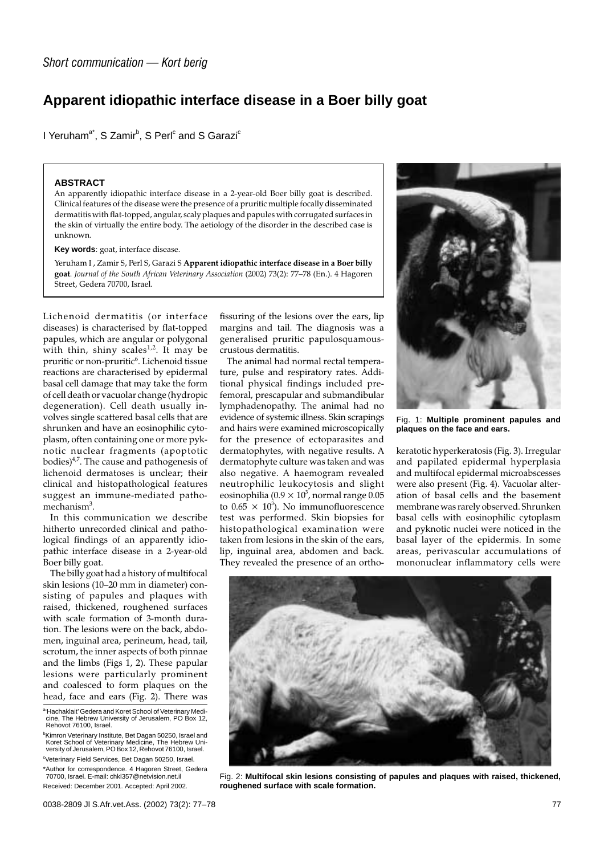## **Apparent idiopathic interface disease in a Boer billy goat**

I Yeruham<sup>a\*</sup>, S Zamir<sup>b</sup>, S Perl $^{\circ}$  and S Garazi $^{\circ}$ 

## **ABSTRACT**

An apparently idiopathic interface disease in a 2-year-old Boer billy goat is described. Clinical features of the disease were the presence of a pruritic multiple focally disseminated dermatitis with flat-topped, angular, scaly plaques and papules with corrugated surfaces in the skin of virtually the entire body. The aetiology of the disorder in the described case is unknown.

**Key words**: goat, interface disease.

Yeruham I , Zamir S, Perl S, Garazi S **Apparent idiopathic interface disease in a Boer billy goat**. *Journal of the South African Veterinary Association* (2002) 73(2): 77–78 (En.). 4 Hagoren Street, Gedera 70700, Israel.

Lichenoid dermatitis (or interface diseases) is characterised by flat-topped papules, which are angular or polygonal with thin, shiny scales<sup>1,2</sup>. It may be pruritic or non-pruritic<sup>6</sup>. Lichenoid tissue reactions are characterised by epidermal basal cell damage that may take the form of cell death or vacuolar change (hydropic degeneration). Cell death usually involves single scattered basal cells that are shrunken and have an eosinophilic cytoplasm, often containing one or more pyknotic nuclear fragments (apoptotic bodies) $4/7$ . The cause and pathogenesis of lichenoid dermatoses is unclear; their clinical and histopathological features suggest an immune-mediated pathomechanism<sup>3</sup>.

In this communication we describe hitherto unrecorded clinical and pathological findings of an apparently idiopathic interface disease in a 2-year-old Boer billy goat.

The billy goat had a history of multifocal skin lesions (10–20 mm in diameter) consisting of papules and plaques with raised, thickened, roughened surfaces with scale formation of 3-month duration. The lesions were on the back, abdomen, inguinal area, perineum, head, tail, scrotum, the inner aspects of both pinnae and the limbs (Figs 1, 2). These papular lesions were particularly prominent and coalesced to form plaques on the head, face and ears (Fig. 2). There was

a 'Hachaklait' Gedera and Koret School of Veterinary Medicine, The Hebrew University of Jerusalem, PO Box 12, Rehovot 76100, Israel.

b Kimron Veterinary Institute, Bet Dagan 50250, Israel and Koret School of Veterinary Medicine, The Hebrew Uni-versity of Jerusalem, PO Box 12, Rehovot 76100, Israel. <sup>c</sup>Veterinary Field Services, Bet Dagan 50250, Israel.

\*Author for correspondence. 4 Hagoren Street, Gedera 70700, Israel. E-mail: chkl357@netvision.net.il

Received: December 2001. Accepted: April 2002.

fissuring of the lesions over the ears, lip margins and tail. The diagnosis was a generalised pruritic papulosquamouscrustous dermatitis.

The animal had normal rectal temperature, pulse and respiratory rates. Additional physical findings included prefemoral, prescapular and submandibular lymphadenopathy. The animal had no evidence of systemic illness. Skin scrapings and hairs were examined microscopically for the presence of ectoparasites and dermatophytes, with negative results. A dermatophyte culture was taken and was also negative. A haemogram revealed neutrophilic leukocytosis and slight eosinophilia (0.9  $\times$  10 $^3$ , normal range 0.05 to  $0.65 \times 10^3$ ). No immunofluorescence test was performed. Skin biopsies for histopathological examination were taken from lesions in the skin of the ears, lip, inguinal area, abdomen and back. They revealed the presence of an ortho-



Fig. 1: **Multiple prominent papules and plaques on the face and ears.**

keratotic hyperkeratosis (Fig. 3). Irregular and papilated epidermal hyperplasia and multifocal epidermal microabscesses were also present (Fig. 4). Vacuolar alteration of basal cells and the basement membrane was rarely observed. Shrunken basal cells with eosinophilic cytoplasm and pyknotic nuclei were noticed in the basal layer of the epidermis. In some areas, perivascular accumulations of mononuclear inflammatory cells were



Fig. 2: **Multifocal skin lesions consisting of papules and plaques with raised, thickened, roughened surface with scale formation.**